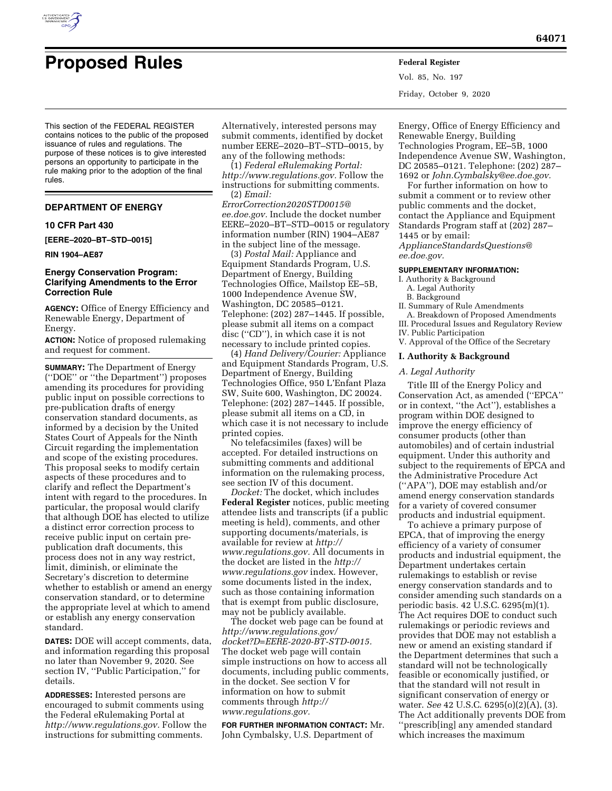

# **Proposed Rules Federal Register**

Vol. 85, No. 197 Friday, October 9, 2020

This section of the FEDERAL REGISTER contains notices to the public of the proposed issuance of rules and regulations. The purpose of these notices is to give interested persons an opportunity to participate in the rule making prior to the adoption of the final rules.

## **DEPARTMENT OF ENERGY**

# **10 CFR Part 430**

**[EERE–2020–BT–STD–0015]** 

#### **RIN 1904–AE87**

#### **Energy Conservation Program: Clarifying Amendments to the Error Correction Rule**

**AGENCY:** Office of Energy Efficiency and Renewable Energy, Department of Energy.

**ACTION:** Notice of proposed rulemaking and request for comment.

**SUMMARY:** The Department of Energy (''DOE'' or ''the Department'') proposes amending its procedures for providing public input on possible corrections to pre-publication drafts of energy conservation standard documents, as informed by a decision by the United States Court of Appeals for the Ninth Circuit regarding the implementation and scope of the existing procedures. This proposal seeks to modify certain aspects of these procedures and to clarify and reflect the Department's intent with regard to the procedures. In particular, the proposal would clarify that although DOE has elected to utilize a distinct error correction process to receive public input on certain prepublication draft documents, this process does not in any way restrict, limit, diminish, or eliminate the Secretary's discretion to determine whether to establish or amend an energy conservation standard, or to determine the appropriate level at which to amend or establish any energy conservation standard.

**DATES:** DOE will accept comments, data, and information regarding this proposal no later than November 9, 2020. See section IV, ''Public Participation,'' for details.

**ADDRESSES:** Interested persons are encouraged to submit comments using the Federal eRulemaking Portal at *[http://www.regulations.gov.](http://www.regulations.gov)* Follow the instructions for submitting comments.

Alternatively, interested persons may submit comments, identified by docket number EERE–2020–BT–STD–0015, by any of the following methods:

(1) *Federal eRulemaking Portal: [http://www.regulations.gov.](http://www.regulations.gov)* Follow the instructions for submitting comments. (2) *Email:* 

*[ErrorCorrection2020STD0015@](mailto:ErrorCorrection2020STD0015@ee.doe.gov) [ee.doe.gov.](mailto:ErrorCorrection2020STD0015@ee.doe.gov)* Include the docket number EERE–2020–BT–STD–0015 or regulatory information number (RIN) 1904–AE87 in the subject line of the message.

(3) *Postal Mail:* Appliance and Equipment Standards Program, U.S. Department of Energy, Building Technologies Office, Mailstop EE–5B, 1000 Independence Avenue SW, Washington, DC 20585–0121. Telephone: (202) 287–1445. If possible, please submit all items on a compact disc (''CD''), in which case it is not necessary to include printed copies.

(4) *Hand Delivery/Courier:* Appliance and Equipment Standards Program, U.S. Department of Energy, Building Technologies Office, 950 L'Enfant Plaza SW, Suite 600, Washington, DC 20024. Telephone: (202) 287–1445. If possible, please submit all items on a CD, in which case it is not necessary to include printed copies.

No telefacsimiles (faxes) will be accepted. For detailed instructions on submitting comments and additional information on the rulemaking process, see section IV of this document.

*Docket:* The docket, which includes **Federal Register** notices, public meeting attendee lists and transcripts (if a public meeting is held), comments, and other supporting documents/materials, is available for review at *[http://](http://www.regulations.gov) [www.regulations.gov.](http://www.regulations.gov)* All documents in the docket are listed in the *[http://](http://www.regulations.gov) [www.regulations.gov](http://www.regulations.gov)* index. However, some documents listed in the index, such as those containing information that is exempt from public disclosure, may not be publicly available.

The docket web page can be found at *[http://www.regulations.gov/](http://www.regulations.gov/docket?D=EERE-2020-BT-STD-0015)  [docket?D=EERE-2020-BT-STD-0015.](http://www.regulations.gov/docket?D=EERE-2020-BT-STD-0015)*  The docket web page will contain simple instructions on how to access all documents, including public comments, in the docket. See section V for information on how to submit comments through *[http://](http://www.regulations.gov) [www.regulations.gov.](http://www.regulations.gov)* 

**FOR FURTHER INFORMATION CONTACT:** Mr. John Cymbalsky, U.S. Department of

Energy, Office of Energy Efficiency and Renewable Energy, Building Technologies Program, EE–5B, 1000 Independence Avenue SW, Washington, DC 20585–0121. Telephone: (202) 287– 1692 or *[John.Cymbalsky@ee.doe.gov.](mailto:John.Cymbalsky@ee.doe.gov)* 

For further information on how to submit a comment or to review other public comments and the docket, contact the Appliance and Equipment Standards Program staff at (202) 287– 1445 or by email:

*[ApplianceStandardsQuestions@](mailto:ApplianceStandardsQuestions@ee.doe.gov) [ee.doe.gov.](mailto:ApplianceStandardsQuestions@ee.doe.gov)* 

#### **SUPPLEMENTARY INFORMATION:**

I. Authority & Background

- A. Legal Authority
- B. Background
- II. Summary of Rule Amendments

A. Breakdown of Proposed Amendments III. Procedural Issues and Regulatory Review

- IV. Public Participation
- V. Approval of the Office of the Secretary

#### **I. Authority & Background**

#### *A. Legal Authority*

Title III of the Energy Policy and Conservation Act, as amended (''EPCA'' or in context, ''the Act''), establishes a program within DOE designed to improve the energy efficiency of consumer products (other than automobiles) and of certain industrial equipment. Under this authority and subject to the requirements of EPCA and the Administrative Procedure Act (''APA''), DOE may establish and/or amend energy conservation standards for a variety of covered consumer products and industrial equipment.

To achieve a primary purpose of EPCA, that of improving the energy efficiency of a variety of consumer products and industrial equipment, the Department undertakes certain rulemakings to establish or revise energy conservation standards and to consider amending such standards on a periodic basis. 42 U.S.C. 6295(m)(1). The Act requires DOE to conduct such rulemakings or periodic reviews and provides that DOE may not establish a new or amend an existing standard if the Department determines that such a standard will not be technologically feasible or economically justified, or that the standard will not result in significant conservation of energy or water. *See* 42 U.S.C. 6295(o)(2)(A), (3). The Act additionally prevents DOE from ''prescrib[ing] any amended standard which increases the maximum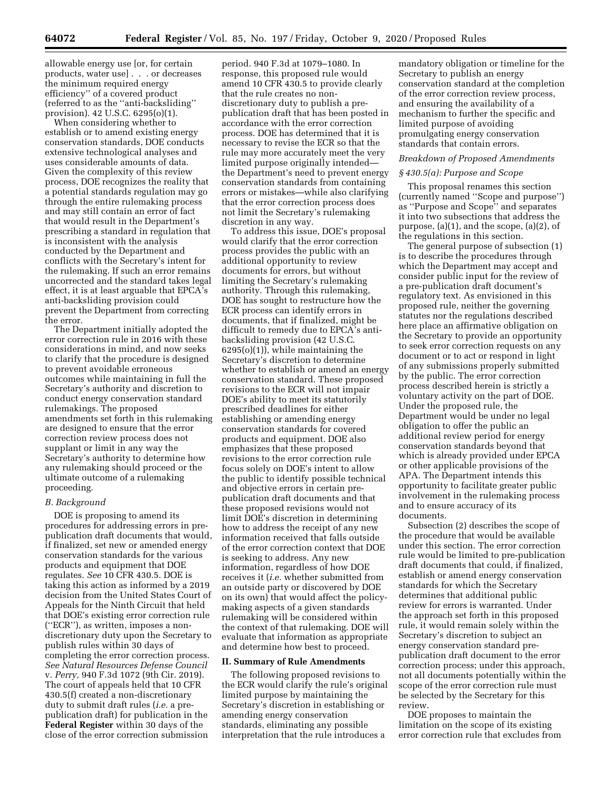allowable energy use [or, for certain products, water use] . . . or decreases the minimum required energy efficiency'' of a covered product (referred to as the ''anti-backsliding'' provision). 42 U.S.C. 6295(o)(1).

When considering whether to establish or to amend existing energy conservation standards, DOE conducts extensive technological analyses and uses considerable amounts of data. Given the complexity of this review process, DOE recognizes the reality that a potential standards regulation may go through the entire rulemaking process and may still contain an error of fact that would result in the Department's prescribing a standard in regulation that is inconsistent with the analysis conducted by the Department and conflicts with the Secretary's intent for the rulemaking. If such an error remains uncorrected and the standard takes legal effect, it is at least arguable that EPCA's anti-backsliding provision could prevent the Department from correcting the error.

The Department initially adopted the error correction rule in 2016 with these considerations in mind, and now seeks to clarify that the procedure is designed to prevent avoidable erroneous outcomes while maintaining in full the Secretary's authority and discretion to conduct energy conservation standard rulemakings. The proposed amendments set forth in this rulemaking are designed to ensure that the error correction review process does not supplant or limit in any way the Secretary's authority to determine how any rulemaking should proceed or the ultimate outcome of a rulemaking proceeding.

#### *B. Background*

DOE is proposing to amend its procedures for addressing errors in prepublication draft documents that would, if finalized, set new or amended energy conservation standards for the various products and equipment that DOE regulates. *See* 10 CFR 430.5. DOE is taking this action as informed by a 2019 decision from the United States Court of Appeals for the Ninth Circuit that held that DOE's existing error correction rule (''ECR''), as written, imposes a nondiscretionary duty upon the Secretary to publish rules within 30 days of completing the error correction process. *See Natural Resources Defense Council*  v. *Perry,* 940 F.3d 1072 (9th Cir. 2019). The court of appeals held that 10 CFR 430.5(f) created a non-discretionary duty to submit draft rules (*i.e.* a prepublication draft) for publication in the **Federal Register** within 30 days of the close of the error correction submission

period. 940 F.3d at 1079–1080. In response, this proposed rule would amend 10 CFR 430.5 to provide clearly that the rule creates no nondiscretionary duty to publish a prepublication draft that has been posted in accordance with the error correction process. DOE has determined that it is necessary to revise the ECR so that the rule may more accurately meet the very limited purpose originally intended the Department's need to prevent energy conservation standards from containing errors or mistakes—while also clarifying that the error correction process does not limit the Secretary's rulemaking discretion in any way.

To address this issue, DOE's proposal would clarify that the error correction process provides the public with an additional opportunity to review documents for errors, but without limiting the Secretary's rulemaking authority. Through this rulemaking, DOE has sought to restructure how the ECR process can identify errors in documents, that if finalized, might be difficult to remedy due to EPCA's antibacksliding provision (42 U.S.C. 6295(o)(1)), while maintaining the Secretary's discretion to determine whether to establish or amend an energy conservation standard. These proposed revisions to the ECR will not impair DOE's ability to meet its statutorily prescribed deadlines for either establishing or amending energy conservation standards for covered products and equipment. DOE also emphasizes that these proposed revisions to the error correction rule focus solely on DOE's intent to allow the public to identify possible technical and objective errors in certain prepublication draft documents and that these proposed revisions would not limit DOE's discretion in determining how to address the receipt of any new information received that falls outside of the error correction context that DOE is seeking to address. Any new information, regardless of how DOE receives it (*i.e.* whether submitted from an outside party or discovered by DOE on its own) that would affect the policymaking aspects of a given standards rulemaking will be considered within the context of that rulemaking. DOE will evaluate that information as appropriate and determine how best to proceed.

#### **II. Summary of Rule Amendments**

The following proposed revisions to the ECR would clarify the rule's original limited purpose by maintaining the Secretary's discretion in establishing or amending energy conservation standards, eliminating any possible interpretation that the rule introduces a

mandatory obligation or timeline for the Secretary to publish an energy conservation standard at the completion of the error correction review process, and ensuring the availability of a mechanism to further the specific and limited purpose of avoiding promulgating energy conservation standards that contain errors.

#### *Breakdown of Proposed Amendments*

#### *§ 430.5(a): Purpose and Scope*

This proposal renames this section (currently named ''Scope and purpose'') as ''Purpose and Scope'' and separates it into two subsections that address the purpose, (a)(1), and the scope, (a)(2), of the regulations in this section.

The general purpose of subsection (1) is to describe the procedures through which the Department may accept and consider public input for the review of a pre-publication draft document's regulatory text. As envisioned in this proposed rule, neither the governing statutes nor the regulations described here place an affirmative obligation on the Secretary to provide an opportunity to seek error correction requests on any document or to act or respond in light of any submissions properly submitted by the public. The error correction process described herein is strictly a voluntary activity on the part of DOE. Under the proposed rule, the Department would be under no legal obligation to offer the public an additional review period for energy conservation standards beyond that which is already provided under EPCA or other applicable provisions of the APA. The Department intends this opportunity to facilitate greater public involvement in the rulemaking process and to ensure accuracy of its documents.

Subsection (2) describes the scope of the procedure that would be available under this section. The error correction rule would be limited to pre-publication draft documents that could, if finalized, establish or amend energy conservation standards for which the Secretary determines that additional public review for errors is warranted. Under the approach set forth in this proposed rule, it would remain solely within the Secretary's discretion to subject an energy conservation standard prepublication draft document to the error correction process; under this approach, not all documents potentially within the scope of the error correction rule must be selected by the Secretary for this review.

DOE proposes to maintain the limitation on the scope of its existing error correction rule that excludes from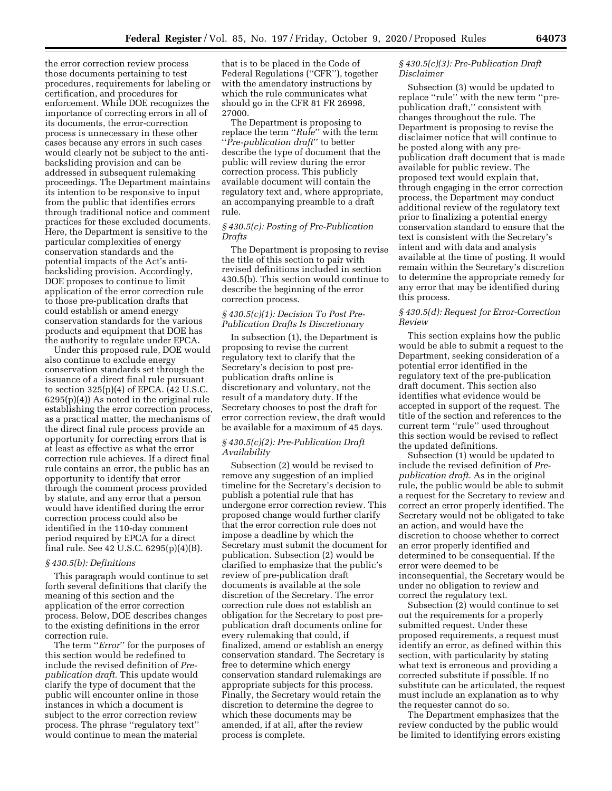the error correction review process those documents pertaining to test procedures, requirements for labeling or certification, and procedures for enforcement. While DOE recognizes the importance of correcting errors in all of its documents, the error-correction process is unnecessary in these other cases because any errors in such cases would clearly not be subject to the antibacksliding provision and can be addressed in subsequent rulemaking proceedings. The Department maintains its intention to be responsive to input from the public that identifies errors through traditional notice and comment practices for these excluded documents. Here, the Department is sensitive to the particular complexities of energy conservation standards and the potential impacts of the Act's antibacksliding provision. Accordingly, DOE proposes to continue to limit application of the error correction rule to those pre-publication drafts that could establish or amend energy conservation standards for the various products and equipment that DOE has the authority to regulate under EPCA.

Under this proposed rule, DOE would also continue to exclude energy conservation standards set through the issuance of a direct final rule pursuant to section 325(p)(4) of EPCA. (42 U.S.C. 6295(p)(4)) As noted in the original rule establishing the error correction process, as a practical matter, the mechanisms of the direct final rule process provide an opportunity for correcting errors that is at least as effective as what the error correction rule achieves. If a direct final rule contains an error, the public has an opportunity to identify that error through the comment process provided by statute, and any error that a person would have identified during the error correction process could also be identified in the 110-day comment period required by EPCA for a direct final rule. See 42 U.S.C. 6295(p)(4)(B).

#### *§ 430.5(b): Definitions*

This paragraph would continue to set forth several definitions that clarify the meaning of this section and the application of the error correction process. Below, DOE describes changes to the existing definitions in the error correction rule.

The term ''*Error*'' for the purposes of this section would be redefined to include the revised definition of *Prepublication draft.* This update would clarify the type of document that the public will encounter online in those instances in which a document is subject to the error correction review process. The phrase ''regulatory text'' would continue to mean the material

that is to be placed in the Code of Federal Regulations (''CFR''), together with the amendatory instructions by which the rule communicates what should go in the CFR 81 FR 26998, 27000.

The Department is proposing to replace the term ''*Rule*'' with the term ''*Pre-publication draft*'' to better describe the type of document that the public will review during the error correction process. This publicly available document will contain the regulatory text and, where appropriate, an accompanying preamble to a draft rule.

# *§ 430.5(c): Posting of Pre-Publication Drafts*

The Department is proposing to revise the title of this section to pair with revised definitions included in section 430.5(b). This section would continue to describe the beginning of the error correction process.

# *§ 430.5(c)(1): Decision To Post Pre-Publication Drafts Is Discretionary*

In subsection (1), the Department is proposing to revise the current regulatory text to clarify that the Secretary's decision to post prepublication drafts online is discretionary and voluntary, not the result of a mandatory duty. If the Secretary chooses to post the draft for error correction review, the draft would be available for a maximum of 45 days.

## *§ 430.5(c)(2): Pre-Publication Draft Availability*

Subsection (2) would be revised to remove any suggestion of an implied timeline for the Secretary's decision to publish a potential rule that has undergone error correction review. This proposed change would further clarify that the error correction rule does not impose a deadline by which the Secretary must submit the document for publication. Subsection (2) would be clarified to emphasize that the public's review of pre-publication draft documents is available at the sole discretion of the Secretary. The error correction rule does not establish an obligation for the Secretary to post prepublication draft documents online for every rulemaking that could, if finalized, amend or establish an energy conservation standard. The Secretary is free to determine which energy conservation standard rulemakings are appropriate subjects for this process. Finally, the Secretary would retain the discretion to determine the degree to which these documents may be amended, if at all, after the review process is complete.

## *§ 430.5(c)(3): Pre-Publication Draft Disclaimer*

Subsection (3) would be updated to replace ''rule'' with the new term ''prepublication draft,'' consistent with changes throughout the rule. The Department is proposing to revise the disclaimer notice that will continue to be posted along with any prepublication draft document that is made available for public review. The proposed text would explain that, through engaging in the error correction process, the Department may conduct additional review of the regulatory text prior to finalizing a potential energy conservation standard to ensure that the text is consistent with the Secretary's intent and with data and analysis available at the time of posting. It would remain within the Secretary's discretion to determine the appropriate remedy for any error that may be identified during this process.

## *§ 430.5(d): Request for Error-Correction Review*

This section explains how the public would be able to submit a request to the Department, seeking consideration of a potential error identified in the regulatory text of the pre-publication draft document. This section also identifies what evidence would be accepted in support of the request. The title of the section and references to the current term ''rule'' used throughout this section would be revised to reflect the updated definitions.

Subsection (1) would be updated to include the revised definition of *Prepublication draft.* As in the original rule, the public would be able to submit a request for the Secretary to review and correct an error properly identified. The Secretary would not be obligated to take an action, and would have the discretion to choose whether to correct an error properly identified and determined to be consequential. If the error were deemed to be inconsequential, the Secretary would be under no obligation to review and correct the regulatory text.

Subsection (2) would continue to set out the requirements for a properly submitted request. Under these proposed requirements, a request must identify an error, as defined within this section, with particularity by stating what text is erroneous and providing a corrected substitute if possible. If no substitute can be articulated, the request must include an explanation as to why the requester cannot do so.

The Department emphasizes that the review conducted by the public would be limited to identifying errors existing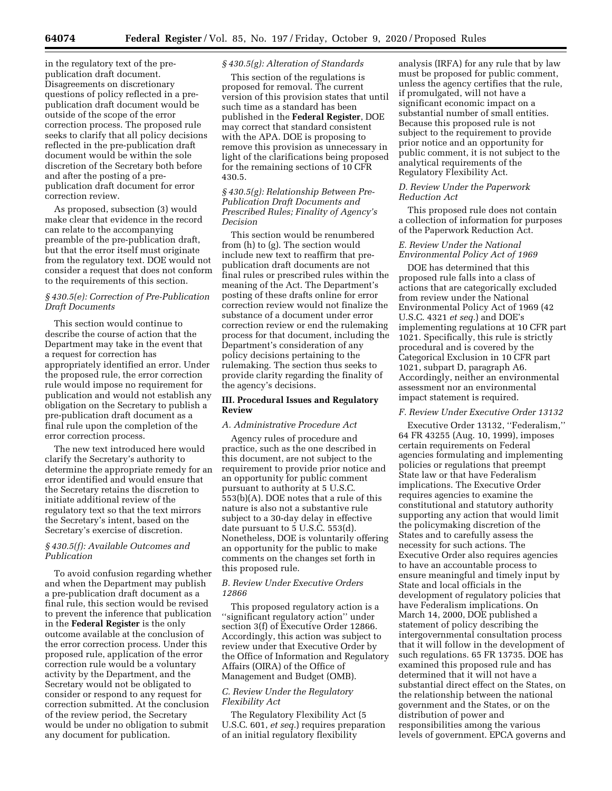in the regulatory text of the prepublication draft document. Disagreements on discretionary questions of policy reflected in a prepublication draft document would be outside of the scope of the error correction process. The proposed rule seeks to clarify that all policy decisions reflected in the pre-publication draft document would be within the sole discretion of the Secretary both before and after the posting of a prepublication draft document for error correction review.

As proposed, subsection (3) would make clear that evidence in the record can relate to the accompanying preamble of the pre-publication draft, but that the error itself must originate from the regulatory text. DOE would not consider a request that does not conform to the requirements of this section.

## *§ 430.5(e): Correction of Pre-Publication Draft Documents*

This section would continue to describe the course of action that the Department may take in the event that a request for correction has appropriately identified an error. Under the proposed rule, the error correction rule would impose no requirement for publication and would not establish any obligation on the Secretary to publish a pre-publication draft document as a final rule upon the completion of the error correction process.

The new text introduced here would clarify the Secretary's authority to determine the appropriate remedy for an error identified and would ensure that the Secretary retains the discretion to initiate additional review of the regulatory text so that the text mirrors the Secretary's intent, based on the Secretary's exercise of discretion.

## *§ 430.5(f): Available Outcomes and Publication*

To avoid confusion regarding whether and when the Department may publish a pre-publication draft document as a final rule, this section would be revised to prevent the inference that publication in the **Federal Register** is the only outcome available at the conclusion of the error correction process. Under this proposed rule, application of the error correction rule would be a voluntary activity by the Department, and the Secretary would not be obligated to consider or respond to any request for correction submitted. At the conclusion of the review period, the Secretary would be under no obligation to submit any document for publication.

#### *§ 430.5(g): Alteration of Standards*

This section of the regulations is proposed for removal. The current version of this provision states that until such time as a standard has been published in the **Federal Register**, DOE may correct that standard consistent with the APA. DOE is proposing to remove this provision as unnecessary in light of the clarifications being proposed for the remaining sections of 10 CFR 430.5.

# *§ 430.5(g): Relationship Between Pre-Publication Draft Documents and Prescribed Rules; Finality of Agency's Decision*

This section would be renumbered from (h) to (g). The section would include new text to reaffirm that prepublication draft documents are not final rules or prescribed rules within the meaning of the Act. The Department's posting of these drafts online for error correction review would not finalize the substance of a document under error correction review or end the rulemaking process for that document, including the Department's consideration of any policy decisions pertaining to the rulemaking. The section thus seeks to provide clarity regarding the finality of the agency's decisions.

#### **III. Procedural Issues and Regulatory Review**

#### *A. Administrative Procedure Act*

Agency rules of procedure and practice, such as the one described in this document, are not subject to the requirement to provide prior notice and an opportunity for public comment pursuant to authority at 5 U.S.C. 553(b)(A). DOE notes that a rule of this nature is also not a substantive rule subject to a 30-day delay in effective date pursuant to 5 U.S.C. 553(d). Nonetheless, DOE is voluntarily offering an opportunity for the public to make comments on the changes set forth in this proposed rule.

# *B. Review Under Executive Orders 12866*

This proposed regulatory action is a ''significant regulatory action'' under section 3(f) of Executive Order 12866. Accordingly, this action was subject to review under that Executive Order by the Office of Information and Regulatory Affairs (OIRA) of the Office of Management and Budget (OMB).

# *C. Review Under the Regulatory Flexibility Act*

The Regulatory Flexibility Act (5 U.S.C. 601, *et seq.*) requires preparation of an initial regulatory flexibility

analysis (IRFA) for any rule that by law must be proposed for public comment, unless the agency certifies that the rule, if promulgated, will not have a significant economic impact on a substantial number of small entities. Because this proposed rule is not subject to the requirement to provide prior notice and an opportunity for public comment, it is not subject to the analytical requirements of the Regulatory Flexibility Act.

#### *D. Review Under the Paperwork Reduction Act*

This proposed rule does not contain a collection of information for purposes of the Paperwork Reduction Act.

## *E. Review Under the National Environmental Policy Act of 1969*

DOE has determined that this proposed rule falls into a class of actions that are categorically excluded from review under the National Environmental Policy Act of 1969 (42 U.S.C. 4321 *et seq.*) and DOE's implementing regulations at 10 CFR part 1021. Specifically, this rule is strictly procedural and is covered by the Categorical Exclusion in 10 CFR part 1021, subpart D, paragraph A6. Accordingly, neither an environmental assessment nor an environmental impact statement is required.

#### *F. Review Under Executive Order 13132*

Executive Order 13132, ''Federalism,'' 64 FR 43255 (Aug. 10, 1999), imposes certain requirements on Federal agencies formulating and implementing policies or regulations that preempt State law or that have Federalism implications. The Executive Order requires agencies to examine the constitutional and statutory authority supporting any action that would limit the policymaking discretion of the States and to carefully assess the necessity for such actions. The Executive Order also requires agencies to have an accountable process to ensure meaningful and timely input by State and local officials in the development of regulatory policies that have Federalism implications. On March 14, 2000, DOE published a statement of policy describing the intergovernmental consultation process that it will follow in the development of such regulations. 65 FR 13735. DOE has examined this proposed rule and has determined that it will not have a substantial direct effect on the States, on the relationship between the national government and the States, or on the distribution of power and responsibilities among the various levels of government. EPCA governs and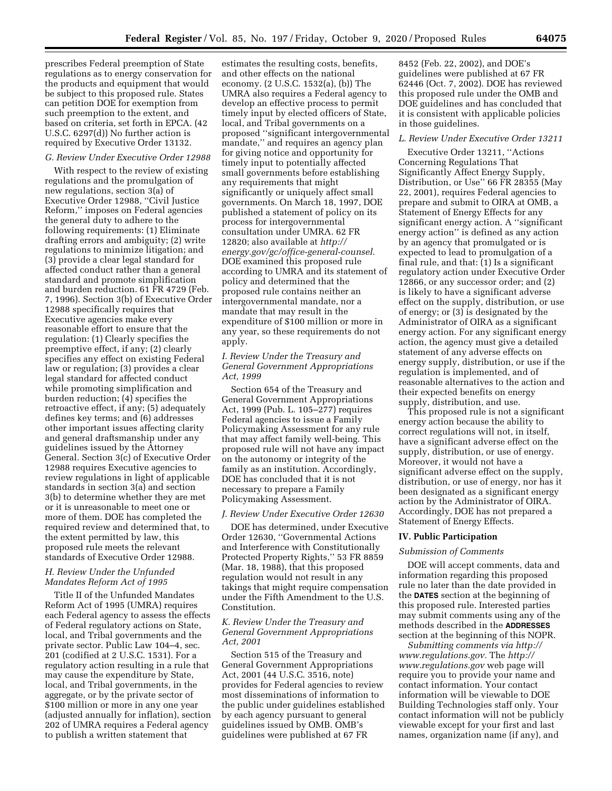prescribes Federal preemption of State regulations as to energy conservation for the products and equipment that would be subject to this proposed rule. States can petition DOE for exemption from such preemption to the extent, and based on criteria, set forth in EPCA. (42 U.S.C. 6297(d)) No further action is required by Executive Order 13132.

## *G. Review Under Executive Order 12988*

With respect to the review of existing regulations and the promulgation of new regulations, section 3(a) of Executive Order 12988, ''Civil Justice Reform,'' imposes on Federal agencies the general duty to adhere to the following requirements: (1) Eliminate drafting errors and ambiguity; (2) write regulations to minimize litigation; and (3) provide a clear legal standard for affected conduct rather than a general standard and promote simplification and burden reduction. 61 FR 4729 (Feb. 7, 1996). Section 3(b) of Executive Order 12988 specifically requires that Executive agencies make every reasonable effort to ensure that the regulation: (1) Clearly specifies the preemptive effect, if any; (2) clearly specifies any effect on existing Federal law or regulation; (3) provides a clear legal standard for affected conduct while promoting simplification and burden reduction; (4) specifies the retroactive effect, if any; (5) adequately defines key terms; and (6) addresses other important issues affecting clarity and general draftsmanship under any guidelines issued by the Attorney General. Section 3(c) of Executive Order 12988 requires Executive agencies to review regulations in light of applicable standards in section 3(a) and section 3(b) to determine whether they are met or it is unreasonable to meet one or more of them. DOE has completed the required review and determined that, to the extent permitted by law, this proposed rule meets the relevant standards of Executive Order 12988.

# *H. Review Under the Unfunded Mandates Reform Act of 1995*

Title II of the Unfunded Mandates Reform Act of 1995 (UMRA) requires each Federal agency to assess the effects of Federal regulatory actions on State, local, and Tribal governments and the private sector. Public Law 104–4, sec. 201 (codified at 2 U.S.C. 1531). For a regulatory action resulting in a rule that may cause the expenditure by State, local, and Tribal governments, in the aggregate, or by the private sector of \$100 million or more in any one year (adjusted annually for inflation), section 202 of UMRA requires a Federal agency to publish a written statement that

estimates the resulting costs, benefits, and other effects on the national economy. (2 U.S.C. 1532(a), (b)) The UMRA also requires a Federal agency to develop an effective process to permit timely input by elected officers of State, local, and Tribal governments on a proposed ''significant intergovernmental mandate,'' and requires an agency plan for giving notice and opportunity for timely input to potentially affected small governments before establishing any requirements that might significantly or uniquely affect small governments. On March 18, 1997, DOE published a statement of policy on its process for intergovernmental consultation under UMRA. 62 FR 12820; also available at *[http://](http://energy.gov/gc/office-general-counsel) [energy.gov/gc/office-general-counsel.](http://energy.gov/gc/office-general-counsel)*  DOE examined this proposed rule according to UMRA and its statement of policy and determined that the proposed rule contains neither an intergovernmental mandate, nor a mandate that may result in the expenditure of \$100 million or more in any year, so these requirements do not apply.

## *I. Review Under the Treasury and General Government Appropriations Act, 1999*

Section 654 of the Treasury and General Government Appropriations Act, 1999 (Pub. L. 105–277) requires Federal agencies to issue a Family Policymaking Assessment for any rule that may affect family well-being. This proposed rule will not have any impact on the autonomy or integrity of the family as an institution. Accordingly, DOE has concluded that it is not necessary to prepare a Family Policymaking Assessment.

#### *J. Review Under Executive Order 12630*

DOE has determined, under Executive Order 12630, ''Governmental Actions and Interference with Constitutionally Protected Property Rights,'' 53 FR 8859 (Mar. 18, 1988), that this proposed regulation would not result in any takings that might require compensation under the Fifth Amendment to the U.S. Constitution.

## *K. Review Under the Treasury and General Government Appropriations Act, 2001*

Section 515 of the Treasury and General Government Appropriations Act, 2001 (44 U.S.C. 3516, note) provides for Federal agencies to review most disseminations of information to the public under guidelines established by each agency pursuant to general guidelines issued by OMB. OMB's guidelines were published at 67 FR

8452 (Feb. 22, 2002), and DOE's guidelines were published at 67 FR 62446 (Oct. 7, 2002). DOE has reviewed this proposed rule under the OMB and DOE guidelines and has concluded that it is consistent with applicable policies in those guidelines.

#### *L. Review Under Executive Order 13211*

Executive Order 13211, ''Actions Concerning Regulations That Significantly Affect Energy Supply, Distribution, or Use'' 66 FR 28355 (May 22, 2001), requires Federal agencies to prepare and submit to OIRA at OMB, a Statement of Energy Effects for any significant energy action. A ''significant energy action'' is defined as any action by an agency that promulgated or is expected to lead to promulgation of a final rule, and that: (1) Is a significant regulatory action under Executive Order 12866, or any successor order; and (2) is likely to have a significant adverse effect on the supply, distribution, or use of energy; or (3) is designated by the Administrator of OIRA as a significant energy action. For any significant energy action, the agency must give a detailed statement of any adverse effects on energy supply, distribution, or use if the regulation is implemented, and of reasonable alternatives to the action and their expected benefits on energy supply, distribution, and use.

This proposed rule is not a significant energy action because the ability to correct regulations will not, in itself, have a significant adverse effect on the supply, distribution, or use of energy. Moreover, it would not have a significant adverse effect on the supply, distribution, or use of energy, nor has it been designated as a significant energy action by the Administrator of OIRA. Accordingly, DOE has not prepared a Statement of Energy Effects.

#### **IV. Public Participation**

#### *Submission of Comments*

DOE will accept comments, data and information regarding this proposed rule no later than the date provided in the **DATES** section at the beginning of this proposed rule. Interested parties may submit comments using any of the methods described in the **ADDRESSES** section at the beginning of this NOPR.

*Submitting comments via [http://](http://www.regulations.gov) [www.regulations.gov.](http://www.regulations.gov)* The *[http://](http://www.regulations.gov) [www.regulations.gov](http://www.regulations.gov)* web page will require you to provide your name and contact information. Your contact information will be viewable to DOE Building Technologies staff only. Your contact information will not be publicly viewable except for your first and last names, organization name (if any), and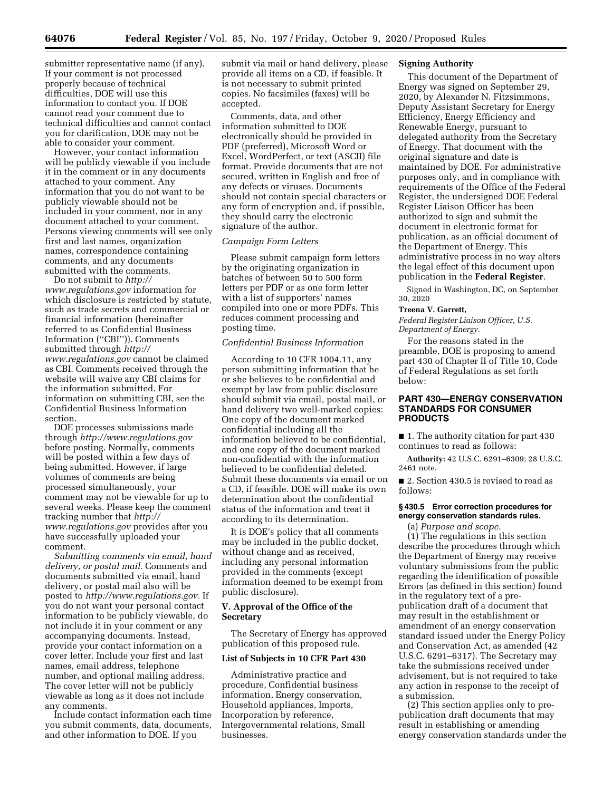submitter representative name (if any). If your comment is not processed properly because of technical difficulties, DOE will use this information to contact you. If DOE cannot read your comment due to technical difficulties and cannot contact you for clarification, DOE may not be able to consider your comment.

However, your contact information will be publicly viewable if you include it in the comment or in any documents attached to your comment. Any information that you do not want to be publicly viewable should not be included in your comment, nor in any document attached to your comment. Persons viewing comments will see only first and last names, organization names, correspondence containing comments, and any documents submitted with the comments.

Do not submit to *[http://](http://www.regulations.gov) [www.regulations.gov](http://www.regulations.gov)* information for which disclosure is restricted by statute, such as trade secrets and commercial or financial information (hereinafter referred to as Confidential Business Information (''CBI'')). Comments submitted through *[http://](http://www.regulations.gov) [www.regulations.gov](http://www.regulations.gov)* cannot be claimed as CBI. Comments received through the website will waive any CBI claims for the information submitted. For information on submitting CBI, see the Confidential Business Information section.

DOE processes submissions made through *<http://www.regulations.gov>*  before posting. Normally, comments will be posted within a few days of being submitted. However, if large volumes of comments are being processed simultaneously, your comment may not be viewable for up to several weeks. Please keep the comment tracking number that *[http://](http://www.regulations.gov) [www.regulations.gov](http://www.regulations.gov)* provides after you have successfully uploaded your comment.

*Submitting comments via email, hand delivery, or postal mail.* Comments and documents submitted via email, hand delivery, or postal mail also will be posted to *[http://www.regulations.gov.](http://www.regulations.gov)* If you do not want your personal contact information to be publicly viewable, do not include it in your comment or any accompanying documents. Instead, provide your contact information on a cover letter. Include your first and last names, email address, telephone number, and optional mailing address. The cover letter will not be publicly viewable as long as it does not include any comments.

Include contact information each time you submit comments, data, documents, and other information to DOE. If you

submit via mail or hand delivery, please provide all items on a CD, if feasible. It is not necessary to submit printed copies. No facsimiles (faxes) will be accepted.

Comments, data, and other information submitted to DOE electronically should be provided in PDF (preferred), Microsoft Word or Excel, WordPerfect, or text (ASCII) file format. Provide documents that are not secured, written in English and free of any defects or viruses. Documents should not contain special characters or any form of encryption and, if possible, they should carry the electronic signature of the author.

### *Campaign Form Letters*

Please submit campaign form letters by the originating organization in batches of between 50 to 500 form letters per PDF or as one form letter with a list of supporters' names compiled into one or more PDFs. This reduces comment processing and posting time.

## *Confidential Business Information*

According to 10 CFR 1004.11, any person submitting information that he or she believes to be confidential and exempt by law from public disclosure should submit via email, postal mail, or hand delivery two well-marked copies: One copy of the document marked confidential including all the information believed to be confidential, and one copy of the document marked non-confidential with the information believed to be confidential deleted. Submit these documents via email or on a CD, if feasible. DOE will make its own determination about the confidential status of the information and treat it according to its determination.

It is DOE's policy that all comments may be included in the public docket, without change and as received, including any personal information provided in the comments (except information deemed to be exempt from public disclosure).

# **V. Approval of the Office of the Secretary**

The Secretary of Energy has approved publication of this proposed rule.

#### **List of Subjects in 10 CFR Part 430**

Administrative practice and procedure, Confidential business information, Energy conservation, Household appliances, Imports, Incorporation by reference, Intergovernmental relations, Small businesses.

# **Signing Authority**

This document of the Department of Energy was signed on September 29, 2020, by Alexander N. Fitzsimmons, Deputy Assistant Secretary for Energy Efficiency, Energy Efficiency and Renewable Energy, pursuant to delegated authority from the Secretary of Energy. That document with the original signature and date is maintained by DOE. For administrative purposes only, and in compliance with requirements of the Office of the Federal Register, the undersigned DOE Federal Register Liaison Officer has been authorized to sign and submit the document in electronic format for publication, as an official document of the Department of Energy. This administrative process in no way alters the legal effect of this document upon publication in the **Federal Register**.

Signed in Washington, DC, on September 30, 2020

#### **Treena V. Garrett,**

*Federal Register Liaison Officer, U.S. Department of Energy.* 

For the reasons stated in the preamble, DOE is proposing to amend part 430 of Chapter II of Title 10, Code of Federal Regulations as set forth below:

# **PART 430—ENERGY CONSERVATION STANDARDS FOR CONSUMER PRODUCTS**

■ 1. The authority citation for part 430 continues to read as follows:

**Authority:** 42 U.S.C. 6291–6309; 28 U.S.C. 2461 note.

■ 2. Section 430.5 is revised to read as follows:

# **§ 430.5 Error correction procedures for energy conservation standards rules.**

(a) *Purpose and scope.* 

(1) The regulations in this section describe the procedures through which the Department of Energy may receive voluntary submissions from the public regarding the identification of possible Errors (as defined in this section) found in the regulatory text of a prepublication draft of a document that may result in the establishment or amendment of an energy conservation standard issued under the Energy Policy and Conservation Act, as amended (42 U.S.C. 6291–6317). The Secretary may take the submissions received under advisement, but is not required to take any action in response to the receipt of a submission.

(2) This section applies only to prepublication draft documents that may result in establishing or amending energy conservation standards under the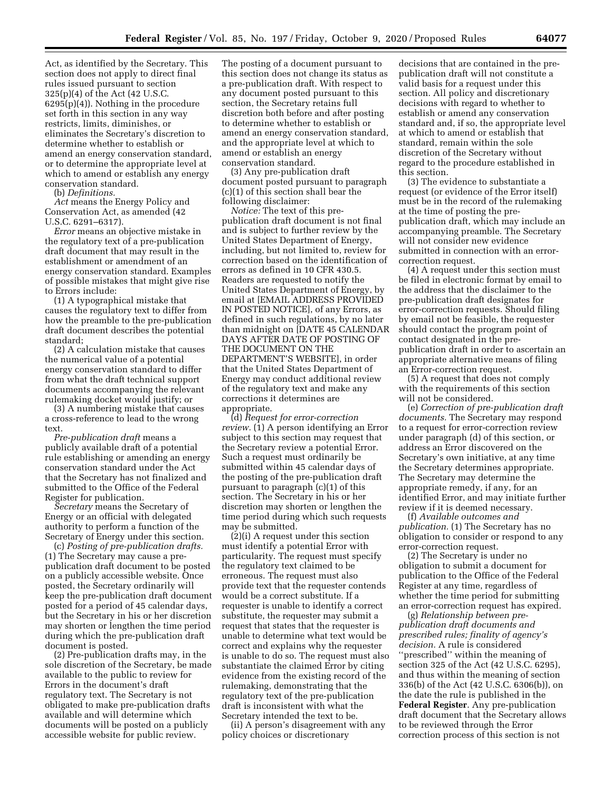Act, as identified by the Secretary. This section does not apply to direct final rules issued pursuant to section 325(p)(4) of the Act (42 U.S.C. 6295(p)(4)). Nothing in the procedure set forth in this section in any way restricts, limits, diminishes, or eliminates the Secretary's discretion to determine whether to establish or amend an energy conservation standard, or to determine the appropriate level at which to amend or establish any energy conservation standard.

(b) *Definitions.* 

*Act* means the Energy Policy and Conservation Act, as amended (42 U.S.C. 6291–6317).

*Error* means an objective mistake in the regulatory text of a pre-publication draft document that may result in the establishment or amendment of an energy conservation standard. Examples of possible mistakes that might give rise to Errors include:

(1) A typographical mistake that causes the regulatory text to differ from how the preamble to the pre-publication draft document describes the potential standard;

(2) A calculation mistake that causes the numerical value of a potential energy conservation standard to differ from what the draft technical support documents accompanying the relevant rulemaking docket would justify; or

(3) A numbering mistake that causes a cross-reference to lead to the wrong text.

*Pre-publication draft* means a publicly available draft of a potential rule establishing or amending an energy conservation standard under the Act that the Secretary has not finalized and submitted to the Office of the Federal Register for publication.

*Secretary* means the Secretary of Energy or an official with delegated authority to perform a function of the Secretary of Energy under this section.

(c) *Posting of pre-publication drafts.*  (1) The Secretary may cause a prepublication draft document to be posted on a publicly accessible website. Once posted, the Secretary ordinarily will keep the pre-publication draft document posted for a period of 45 calendar days, but the Secretary in his or her discretion may shorten or lengthen the time period during which the pre-publication draft document is posted.

(2) Pre-publication drafts may, in the sole discretion of the Secretary, be made available to the public to review for Errors in the document's draft regulatory text. The Secretary is not obligated to make pre-publication drafts available and will determine which documents will be posted on a publicly accessible website for public review.

The posting of a document pursuant to this section does not change its status as a pre-publication draft. With respect to any document posted pursuant to this section, the Secretary retains full discretion both before and after posting to determine whether to establish or amend an energy conservation standard, and the appropriate level at which to amend or establish an energy conservation standard.

(3) Any pre-publication draft document posted pursuant to paragraph (c)(1) of this section shall bear the following disclaimer:

*Notice:* The text of this prepublication draft document is not final and is subject to further review by the United States Department of Energy, including, but not limited to, review for correction based on the identification of errors as defined in 10 CFR 430.5. Readers are requested to notify the United States Department of Energy, by email at [EMAIL ADDRESS PROVIDED IN POSTED NOTICE], of any Errors, as defined in such regulations, by no later than midnight on [DATE 45 CALENDAR DAYS AFTER DATE OF POSTING OF THE DOCUMENT ON THE DEPARTMENT'S WEBSITE], in order that the United States Department of Energy may conduct additional review of the regulatory text and make any corrections it determines are appropriate.

(d) *Request for error-correction review.* (1) A person identifying an Error subject to this section may request that the Secretary review a potential Error. Such a request must ordinarily be submitted within 45 calendar days of the posting of the pre-publication draft pursuant to paragraph (c)(1) of this section. The Secretary in his or her discretion may shorten or lengthen the time period during which such requests may be submitted.

(2)(i) A request under this section must identify a potential Error with particularity. The request must specify the regulatory text claimed to be erroneous. The request must also provide text that the requester contends would be a correct substitute. If a requester is unable to identify a correct substitute, the requester may submit a request that states that the requester is unable to determine what text would be correct and explains why the requester is unable to do so. The request must also substantiate the claimed Error by citing evidence from the existing record of the rulemaking, demonstrating that the regulatory text of the pre-publication draft is inconsistent with what the Secretary intended the text to be.

(ii) A person's disagreement with any policy choices or discretionary

decisions that are contained in the prepublication draft will not constitute a valid basis for a request under this section. All policy and discretionary decisions with regard to whether to establish or amend any conservation standard and, if so, the appropriate level at which to amend or establish that standard, remain within the sole discretion of the Secretary without regard to the procedure established in this section.

(3) The evidence to substantiate a request (or evidence of the Error itself) must be in the record of the rulemaking at the time of posting the prepublication draft, which may include an accompanying preamble. The Secretary will not consider new evidence submitted in connection with an errorcorrection request.

(4) A request under this section must be filed in electronic format by email to the address that the disclaimer to the pre-publication draft designates for error-correction requests. Should filing by email not be feasible, the requester should contact the program point of contact designated in the prepublication draft in order to ascertain an appropriate alternative means of filing an Error-correction request.

(5) A request that does not comply with the requirements of this section will not be considered.

(e) *Correction of pre-publication draft documents.* The Secretary may respond to a request for error-correction review under paragraph (d) of this section, or address an Error discovered on the Secretary's own initiative, at any time the Secretary determines appropriate. The Secretary may determine the appropriate remedy, if any, for an identified Error, and may initiate further review if it is deemed necessary.

(f) *Available outcomes and publication.* (1) The Secretary has no obligation to consider or respond to any error-correction request.

(2) The Secretary is under no obligation to submit a document for publication to the Office of the Federal Register at any time, regardless of whether the time period for submitting an error-correction request has expired.

(g) *Relationship between prepublication draft documents and prescribed rules; finality of agency's decision.* A rule is considered ''prescribed'' within the meaning of section 325 of the Act (42 U.S.C. 6295), and thus within the meaning of section 336(b) of the Act (42 U.S.C. 6306(b)), on the date the rule is published in the **Federal Register**. Any pre-publication draft document that the Secretary allows to be reviewed through the Error correction process of this section is not